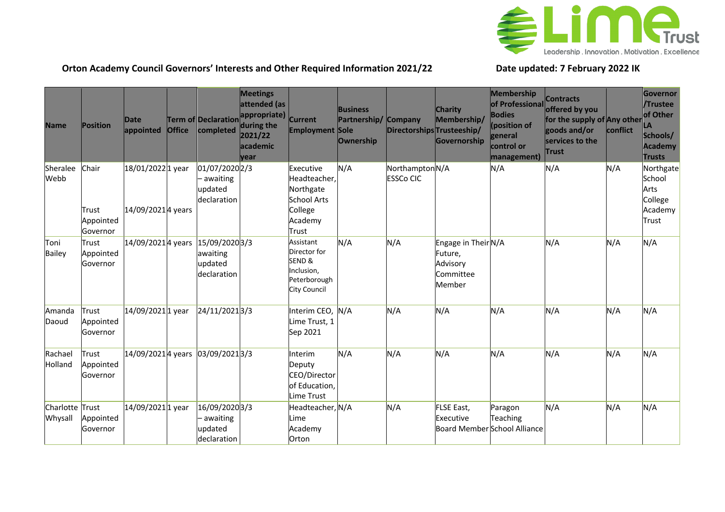

## **Orton Academy Council Governors' Interests and Other Required Information 2021/22 Date updated: 7 February 2022 IK**

| <b>Name</b>                | <b>Position</b>                         | Date<br>appointed                     | <b>Office</b> | <b>Term of Declaration</b><br>completed                | <b>Meetings</b><br>attended (as<br>appropriate)<br>during the<br>2021/22<br><b>lacademic</b><br><b>vear</b> | <b>Current</b><br><b>Employment Sole</b>                                                    | <b>Business</b><br>Partnership/<br><b>Ownership</b> | <b>Company</b><br>Directorships Trusteeship/ | <b>Charity</b><br>Membership/<br>Governorship                     | Membership<br>of Professional<br><b>Bodies</b><br>(position of<br>general<br>control or<br>management) | <b>Contracts</b><br>offered by you<br>for the supply of Any other<br>goods and/or<br>services to the<br>Trust | conflict | Governor<br>/Trustee<br>of Other<br>LA<br>Schools/<br>Academy<br><b>Trusts</b> |
|----------------------------|-----------------------------------------|---------------------------------------|---------------|--------------------------------------------------------|-------------------------------------------------------------------------------------------------------------|---------------------------------------------------------------------------------------------|-----------------------------------------------------|----------------------------------------------|-------------------------------------------------------------------|--------------------------------------------------------------------------------------------------------|---------------------------------------------------------------------------------------------------------------|----------|--------------------------------------------------------------------------------|
| Sheralee<br>Webb           | Chair<br>Trust<br>Appointed<br>Governor | 18/01/20221 year<br>14/09/20214 years |               | 01/07/2020 2/3<br>- awaiting<br>updated<br>declaration |                                                                                                             | Executive<br>Headteacher,<br>Northgate<br><b>School Arts</b><br>College<br>Academy<br>Trust | N/A                                                 | Northampton N/A<br><b>ESSCo CIC</b>          |                                                                   | N/A                                                                                                    | N/A                                                                                                           | N/A      | Northgate<br>School<br>Arts<br>College<br>Academy<br>Trust                     |
| Toni<br><b>Bailey</b>      | <b>Trust</b><br>Appointed<br>Governor   | 14/09/20214 years                     |               | 15/09/20203/3<br>awaiting<br>updated<br>declaration    |                                                                                                             | Assistant<br>Director for<br>SEND&<br>Inclusion,<br>Peterborough<br><b>City Council</b>     | N/A                                                 | N/A                                          | Engage in Their N/A<br>Future,<br>Advisory<br>Committee<br>Member |                                                                                                        | N/A                                                                                                           | N/A      | N/A                                                                            |
| Amanda<br>Daoud            | Trust<br>Appointed<br>Governor          | 14/09/20211 year                      |               | 24/11/20213/3                                          |                                                                                                             | Interim CEO,<br>Lime Trust, 1<br>Sep 2021                                                   | N/A                                                 | N/A                                          | N/A                                                               | N/A                                                                                                    | N/A                                                                                                           | N/A      | N/A                                                                            |
| Rachael<br>Holland         | Trust<br>Appointed<br>Governor          |                                       |               | 14/09/20214 years 03/09/20213/3                        |                                                                                                             | Interim<br>Deputy<br>CEO/Director<br>of Education,<br>Lime Trust                            | N/A                                                 | N/A                                          | N/A                                                               | N/A                                                                                                    | N/A                                                                                                           | N/A      | N/A                                                                            |
| Charlotte Trust<br>Whysall | Appointed<br>Governor                   | 14/09/2021 1 year                     |               | 16/09/20203/3<br>– awaiting<br>updated<br>declaration  |                                                                                                             | Headteacher, N/A<br>Lime<br>Academy<br>Orton                                                |                                                     | N/A                                          | FLSE East,<br>Executive                                           | Paragon<br>Teaching<br>Board Member School Alliance                                                    | N/A                                                                                                           | N/A      | N/A                                                                            |